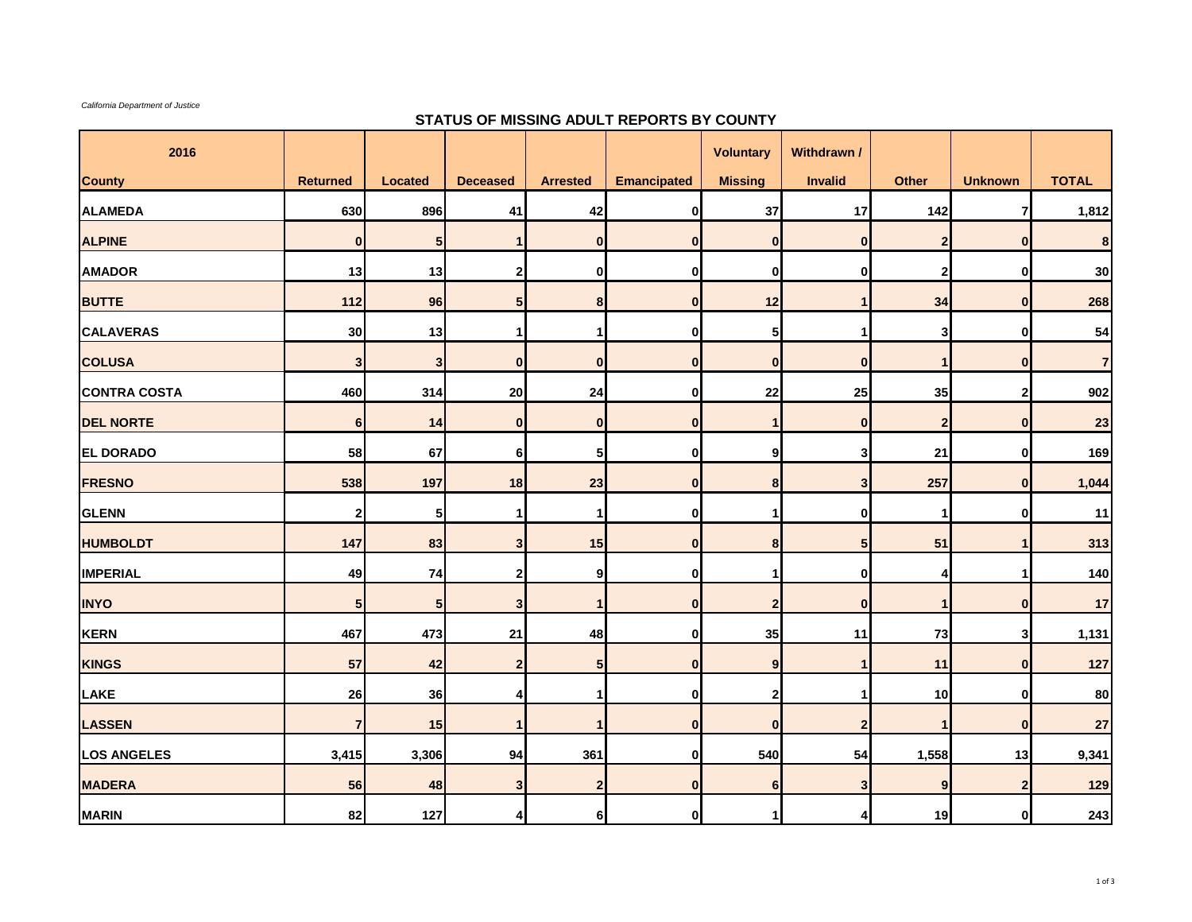*California Department of Justice*

## **STATUS OF MISSING ADULT REPORTS BY COUNTY**

| 2016                |                 |                |                         |                         |                    | <b>Voluntary</b> | Withdrawn /    |              |                  |                |
|---------------------|-----------------|----------------|-------------------------|-------------------------|--------------------|------------------|----------------|--------------|------------------|----------------|
| <b>County</b>       | <b>Returned</b> | <b>Located</b> | <b>Deceased</b>         | <b>Arrested</b>         | <b>Emancipated</b> | <b>Missing</b>   | <b>Invalid</b> | Other        | <b>Unknown</b>   | <b>TOTAL</b>   |
| <b>ALAMEDA</b>      | 630             | 896            | 41                      | 42                      | $\mathbf{0}$       | 37               | 17             | 142          | $\overline{7}$   | 1,812          |
| <b>ALPINE</b>       | $\mathbf{0}$    | 5              |                         | $\bf{0}$                | $\pmb{0}$          | $\mathbf{0}$     | $\mathbf 0$    | $\mathbf{2}$ | $\overline{0}$   | 8              |
| <b>AMADOR</b>       | 13              | 13             | 2 <sub>1</sub>          | $\mathbf 0$             | $\pmb{0}$          | $\mathbf 0$      | $\mathbf 0$    | $\mathbf{2}$ | $\mathbf{0}$     | 30             |
| <b>BUTTE</b>        | 112             | 96             | 5 <sub>l</sub>          | 8                       | $\bf{0}$           | 12               |                | 34           | $\mathbf{0}$     | 268            |
| <b>CALAVERAS</b>    | 30              | 13             | 1                       | 1                       | 0                  | 5 <sup>1</sup>   | -1             | 3            | $\mathbf{0}$     | 54             |
| <b>COLUSA</b>       | 3               | $\mathbf{3}$   | $\mathbf{0}$            | $\bf{0}$                | $\pmb{0}$          | $\mathbf 0$      | $\mathbf 0$    | $\mathbf{1}$ | $\mathbf{0}$     | $\overline{7}$ |
| <b>CONTRA COSTA</b> | 460             | 314            | 20                      | 24                      | 0                  | 22               | 25             | 35           | $2 \overline{2}$ | 902            |
| <b>DEL NORTE</b>    | 6 <sup>1</sup>  | 14             | $\mathbf{0}$            | $\bf{0}$                | $\pmb{0}$          | $\mathbf{1}$     | $\mathbf 0$    | $\mathbf{2}$ | $\mathbf{0}$     | 23             |
| <b>EL DORADO</b>    | 58              | 67             | 6                       | 5                       | 0                  | 9                | 3              | 21           | $\mathbf{0}$     | 169            |
| <b>FRESNO</b>       | 538             | 197            | 18                      | 23                      | $\bf{0}$           | 8                | 3              | 257          | $\mathbf{0}$     | 1,044          |
| <b>GLENN</b>        | $\mathbf{2}$    | 5              | 1                       | $\mathbf 1$             | 0                  | $\mathbf 1$      | $\bf{0}$       | $\mathbf{1}$ | $\mathbf{0}$     | 11             |
| <b>HUMBOLDT</b>     | 147             | 83             | 3 <sub>l</sub>          | 15                      | $\pmb{0}$          | 8                | 5              | 51           | $\overline{1}$   | 313            |
| <b>IMPERIAL</b>     | 49              | 74             | $\mathbf{2}$            | 9                       | 0                  | 1                | $\mathbf 0$    | 4            | $\mathbf 1$      | 140            |
| <b>INYO</b>         | 5 <sub>5</sub>  | 5              | 3                       |                         | $\bf{0}$           | $\mathbf{2}$     | $\mathbf 0$    | $\mathbf{1}$ | $\mathbf{0}$     | 17             |
| <b>KERN</b>         | 467             | 473            | 21                      | 48                      | 0                  | 35               | 11             | 73           | 3 <sup>1</sup>   | 1,131          |
| <b>KINGS</b>        | 57              | 42             | $2 \overline{2}$        | 5                       | $\pmb{0}$          | 9                |                | 11           | $\mathbf{0}$     | 127            |
| <b>LAKE</b>         | 26              | 36             | $\overline{4}$          | 1                       | 0                  | $\mathbf{2}$     |                | 10           | $\mathbf{0}$     | 80             |
| <b>LASSEN</b>       | $\overline{7}$  | 15             |                         | 1                       | $\pmb{0}$          | $\mathbf{0}$     | $\overline{2}$ | $\mathbf{1}$ | $\mathbf{0}$     | 27             |
| <b>LOS ANGELES</b>  | 3,415           | 3,306          | 94                      | 361                     | 0                  | 540              | 54             | 1,558        | 13               | 9,341          |
| <b>MADERA</b>       | 56              | 48             | $\overline{\mathbf{3}}$ | $\overline{\mathbf{2}}$ | $\bf{0}$           | 6 <sup>1</sup>   | 3              | 9            | $\overline{2}$   | 129            |
| <b>MARIN</b>        | 82              | 127            | 4                       | $6 \mid$                | $\mathbf{0}$       | 1.               |                | 19           | $\mathbf{0}$     | 243            |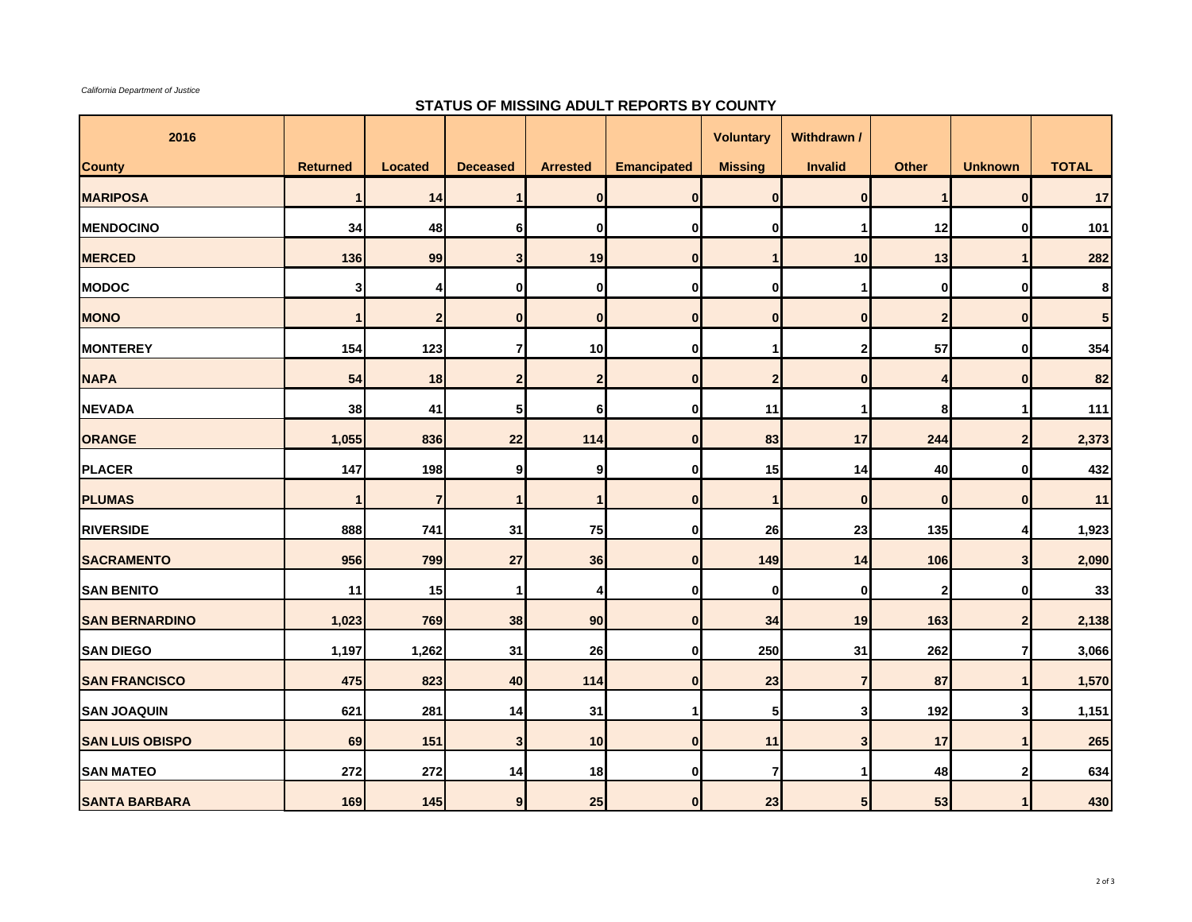*California Department of Justice*

## **STATUS OF MISSING ADULT REPORTS BY COUNTY**

| 2016                   |                 |                |                 |                 |                    | <b>Voluntary</b> | Withdrawn /    |                         |                         |              |
|------------------------|-----------------|----------------|-----------------|-----------------|--------------------|------------------|----------------|-------------------------|-------------------------|--------------|
| <b>County</b>          | <b>Returned</b> | <b>Located</b> | <b>Deceased</b> | <b>Arrested</b> | <b>Emancipated</b> | <b>Missing</b>   | <b>Invalid</b> | <b>Other</b>            | <b>Unknown</b>          | <b>TOTAL</b> |
| <b>MARIPOSA</b>        |                 | 14             | 1               | $\mathbf{0}$    | $\bf{0}$           | $\overline{0}$   | $\mathbf{0}$   | $\mathbf 1$             | $\mathbf{0}$            | 17           |
| <b>MENDOCINO</b>       | 34              | 48             | 6               | $\mathbf{0}$    | $\mathbf 0$        | $\mathbf{0}$     | 1              | 12                      | $\bf{0}$                | 101          |
| <b>MERCED</b>          | 136             | 99             | 3 <sub>l</sub>  | 19              | $\bf{0}$           | $\mathbf{1}$     | 10             | 13                      | 1                       | 282          |
| <b>MODOC</b>           | 3               | 4              | 0               | 0               | 0                  | 0                |                | 0                       | $\bf{0}$                | 8            |
| <b>MONO</b>            | 1               | $\mathbf{2}$   | $\mathbf{0}$    | $\mathbf{0}$    | $\bf{0}$           | $\mathbf{0}$     | $\mathbf{0}$   | $\mathbf 2$             | $\mathbf{0}$            | 5            |
| <b>MONTEREY</b>        | 154             | 123            | $\overline{7}$  | 10              | $\bf{0}$           | 1                | 2              | 57                      | $\mathbf 0$             | 354          |
| <b>NAPA</b>            | 54              | 18             | $\overline{2}$  | $\overline{2}$  | $\bf{0}$           | $\overline{2}$   | $\mathbf{0}$   | $\overline{\mathbf{4}}$ | $\mathbf{0}$            | 82           |
| <b>NEVADA</b>          | 38              | 41             | 5               | 6               | $\mathbf 0$        | 11               | 1              | 8                       | 1                       | 111          |
| ORANGE                 | 1,055           | 836            | 22              | 114             | $\bf{0}$           | 83               | 17             | 244                     | $\boldsymbol{2}$        | 2,373        |
| PLACER                 | 147             | 198            | 9               | 9               | 0                  | 15               | 14             | 40                      | $\mathbf 0$             | 432          |
| <b>PLUMAS</b>          | $\mathbf 1$     | $\overline{7}$ | 1               | -1              | $\bf{0}$           | $\mathbf{1}$     | $\bf{0}$       | $\bf{0}$                | $\mathbf{0}$            | 11           |
| <b>RIVERSIDE</b>       | 888             | 741            | 31              | 75              | $\mathbf 0$        | 26               | 23             | 135                     | 4                       | 1,923        |
| <b>SACRAMENTO</b>      | 956             | 799            | 27              | 36              | $\bf{0}$           | 149              | 14             | 106                     | 3                       | 2,090        |
| <b>SAN BENITO</b>      | 11              | 15             |                 | 4               | 0                  | $\mathbf{0}$     | $\bf{0}$       | 2                       | $\mathbf 0$             | 33           |
| <b>SAN BERNARDINO</b>  | 1,023           | 769            | 38              | 90              | $\bf{0}$           | 34               | 19             | 163                     | $\overline{\mathbf{2}}$ | 2,138        |
| <b>SAN DIEGO</b>       | 1,197           | 1,262          | 31              | 26              | $\bf{0}$           | 250              | 31             | 262                     | $\overline{7}$          | 3,066        |
| <b>SAN FRANCISCO</b>   | 475             | 823            | 40              | 114             | $\bf{0}$           | 23               | $\overline{7}$ | 87                      | $\mathbf{1}$            | 1,570        |
| <b>SAN JOAQUIN</b>     | 621             | 281            | 14              | 31              | $\mathbf{1}$       | 5 <sub>l</sub>   | 3              | 192                     | 3                       | 1,151        |
| <b>SAN LUIS OBISPO</b> | 69              | 151            | 3               | 10              | $\bf{0}$           | 11               | 3              | 17                      | 1                       | 265          |
| <b>SAN MATEO</b>       | 272             | 272            | 14              | 18              | $\mathbf 0$        | $\overline{7}$   |                | 48                      | $\mathbf{2}$            | 634          |
| <b>SANTA BARBARA</b>   | 169             | 145            | 9 <sub>l</sub>  | 25              | $\bf{0}$           | 23               | 5 <sub>l</sub> | 53                      |                         | 430          |